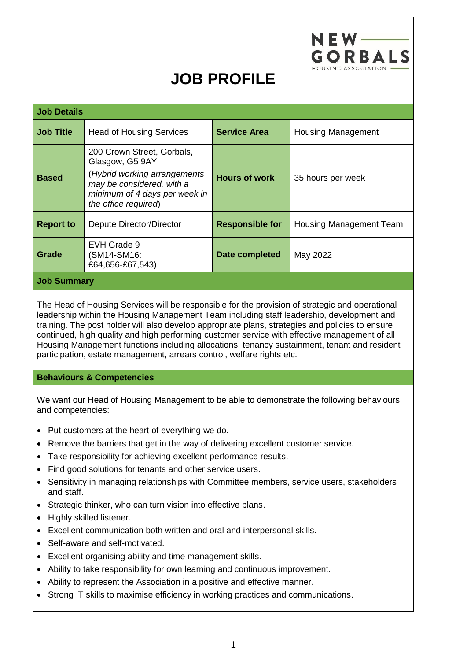

## **JOB PROFILE**

| <b>Job Details</b> |                                                                                                                                                                     |                        |                           |
|--------------------|---------------------------------------------------------------------------------------------------------------------------------------------------------------------|------------------------|---------------------------|
| <b>Job Title</b>   | <b>Head of Housing Services</b>                                                                                                                                     | <b>Service Area</b>    | <b>Housing Management</b> |
| <b>Based</b>       | 200 Crown Street, Gorbals,<br>Glasgow, G5 9AY<br>(Hybrid working arrangements<br>may be considered, with a<br>minimum of 4 days per week in<br>the office required) | <b>Hours of work</b>   | 35 hours per week         |
| <b>Report to</b>   | Depute Director/Director                                                                                                                                            | <b>Responsible for</b> | Housing Management Team   |
| Grade              | EVH Grade 9<br>(SM14-SM16:<br>£64,656-£67,543)                                                                                                                      | Date completed         | May 2022                  |
| <b>Job Summary</b> |                                                                                                                                                                     |                        |                           |

The Head of Housing Services will be responsible for the provision of strategic and operational leadership within the Housing Management Team including staff leadership, development and training. The post holder will also develop appropriate plans, strategies and policies to ensure continued, high quality and high performing customer service with effective management of all Housing Management functions including allocations, tenancy sustainment, tenant and resident participation, estate management, arrears control, welfare rights etc.

## **Behaviours & Competencies**

We want our Head of Housing Management to be able to demonstrate the following behaviours and competencies:

- Put customers at the heart of everything we do.
- Remove the barriers that get in the way of delivering excellent customer service.
- Take responsibility for achieving excellent performance results.
- Find good solutions for tenants and other service users.
- Sensitivity in managing relationships with Committee members, service users, stakeholders and staff.
- Strategic thinker, who can turn vision into effective plans.
- Highly skilled listener.
- Excellent communication both written and oral and interpersonal skills.
- Self-aware and self-motivated.
- Excellent organising ability and time management skills.
- Ability to take responsibility for own learning and continuous improvement.
- Ability to represent the Association in a positive and effective manner.
- Strong IT skills to maximise efficiency in working practices and communications.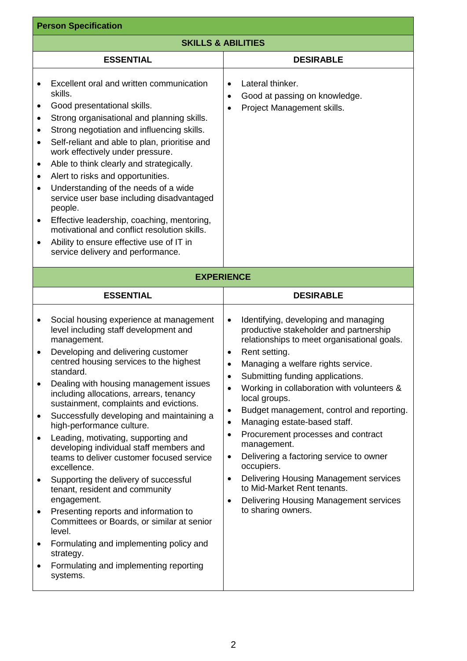| <b>Person Specification</b>                                                                                                                                                                                                                                                                                                                                                                                                                                                                                                                                                                                                                                                                                                                                                                                                                                                                                                                                |                                                                                                                                                                                                                                                                                                                                                                                                                                                                                                                                                                                                                                                                                                                                                               |  |  |  |
|------------------------------------------------------------------------------------------------------------------------------------------------------------------------------------------------------------------------------------------------------------------------------------------------------------------------------------------------------------------------------------------------------------------------------------------------------------------------------------------------------------------------------------------------------------------------------------------------------------------------------------------------------------------------------------------------------------------------------------------------------------------------------------------------------------------------------------------------------------------------------------------------------------------------------------------------------------|---------------------------------------------------------------------------------------------------------------------------------------------------------------------------------------------------------------------------------------------------------------------------------------------------------------------------------------------------------------------------------------------------------------------------------------------------------------------------------------------------------------------------------------------------------------------------------------------------------------------------------------------------------------------------------------------------------------------------------------------------------------|--|--|--|
| <b>SKILLS &amp; ABILITIES</b>                                                                                                                                                                                                                                                                                                                                                                                                                                                                                                                                                                                                                                                                                                                                                                                                                                                                                                                              |                                                                                                                                                                                                                                                                                                                                                                                                                                                                                                                                                                                                                                                                                                                                                               |  |  |  |
| <b>ESSENTIAL</b>                                                                                                                                                                                                                                                                                                                                                                                                                                                                                                                                                                                                                                                                                                                                                                                                                                                                                                                                           | <b>DESIRABLE</b>                                                                                                                                                                                                                                                                                                                                                                                                                                                                                                                                                                                                                                                                                                                                              |  |  |  |
| Excellent oral and written communication<br>$\bullet$<br>skills.<br>Good presentational skills.<br>$\bullet$<br>Strong organisational and planning skills.<br>$\bullet$<br>Strong negotiation and influencing skills.<br>$\bullet$<br>Self-reliant and able to plan, prioritise and<br>$\bullet$<br>work effectively under pressure.<br>Able to think clearly and strategically.<br>$\bullet$<br>Alert to risks and opportunities.<br>$\bullet$<br>Understanding of the needs of a wide<br>$\bullet$<br>service user base including disadvantaged<br>people.<br>Effective leadership, coaching, mentoring,<br>$\bullet$<br>motivational and conflict resolution skills.<br>Ability to ensure effective use of IT in<br>$\bullet$<br>service delivery and performance.                                                                                                                                                                                      | Lateral thinker.<br>$\bullet$<br>Good at passing on knowledge.<br>$\bullet$<br>Project Management skills.<br>$\bullet$                                                                                                                                                                                                                                                                                                                                                                                                                                                                                                                                                                                                                                        |  |  |  |
| <b>EXPERIENCE</b>                                                                                                                                                                                                                                                                                                                                                                                                                                                                                                                                                                                                                                                                                                                                                                                                                                                                                                                                          |                                                                                                                                                                                                                                                                                                                                                                                                                                                                                                                                                                                                                                                                                                                                                               |  |  |  |
| <b>ESSENTIAL</b>                                                                                                                                                                                                                                                                                                                                                                                                                                                                                                                                                                                                                                                                                                                                                                                                                                                                                                                                           | <b>DESIRABLE</b>                                                                                                                                                                                                                                                                                                                                                                                                                                                                                                                                                                                                                                                                                                                                              |  |  |  |
| Social housing experience at management<br>$\bullet$<br>level including staff development and<br>management.<br>Developing and delivering customer<br>٠<br>centred housing services to the highest<br>standard.<br>Dealing with housing management issues<br>$\bullet$<br>including allocations, arrears, tenancy<br>sustainment, complaints and evictions.<br>Successfully developing and maintaining a<br>$\bullet$<br>high-performance culture.<br>Leading, motivating, supporting and<br>$\bullet$<br>developing individual staff members and<br>teams to deliver customer focused service<br>excellence.<br>Supporting the delivery of successful<br>$\bullet$<br>tenant, resident and community<br>engagement.<br>Presenting reports and information to<br>٠<br>Committees or Boards, or similar at senior<br>level.<br>Formulating and implementing policy and<br>٠<br>strategy.<br>Formulating and implementing reporting<br>$\bullet$<br>systems. | Identifying, developing and managing<br>$\bullet$<br>productive stakeholder and partnership<br>relationships to meet organisational goals.<br>Rent setting.<br>$\bullet$<br>Managing a welfare rights service.<br>Submitting funding applications.<br>$\bullet$<br>Working in collaboration with volunteers &<br>$\bullet$<br>local groups.<br>Budget management, control and reporting.<br>$\bullet$<br>Managing estate-based staff.<br>$\bullet$<br>Procurement processes and contract<br>$\bullet$<br>management.<br>Delivering a factoring service to owner<br>$\bullet$<br>occupiers.<br>Delivering Housing Management services<br>$\bullet$<br>to Mid-Market Rent tenants.<br>Delivering Housing Management services<br>$\bullet$<br>to sharing owners. |  |  |  |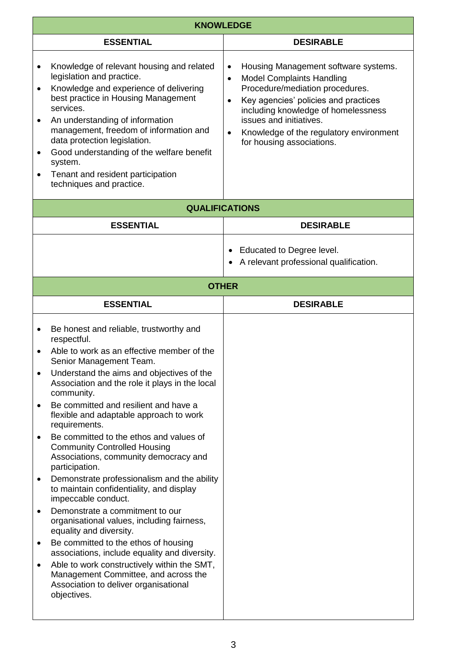|                                                                                      | <b>KNOWLEDGE</b>                                                                                                                                                                                                                                                                                                                                                                                                                                                                                                                                                                                                                                                                                                                                                                                                                                                                                                                                                     |                                                                                                                                                                                                                                                                                                                                                   |  |  |
|--------------------------------------------------------------------------------------|----------------------------------------------------------------------------------------------------------------------------------------------------------------------------------------------------------------------------------------------------------------------------------------------------------------------------------------------------------------------------------------------------------------------------------------------------------------------------------------------------------------------------------------------------------------------------------------------------------------------------------------------------------------------------------------------------------------------------------------------------------------------------------------------------------------------------------------------------------------------------------------------------------------------------------------------------------------------|---------------------------------------------------------------------------------------------------------------------------------------------------------------------------------------------------------------------------------------------------------------------------------------------------------------------------------------------------|--|--|
|                                                                                      | <b>ESSENTIAL</b>                                                                                                                                                                                                                                                                                                                                                                                                                                                                                                                                                                                                                                                                                                                                                                                                                                                                                                                                                     | <b>DESIRABLE</b>                                                                                                                                                                                                                                                                                                                                  |  |  |
| $\bullet$<br>$\bullet$<br>$\bullet$<br>$\bullet$                                     | Knowledge of relevant housing and related<br>legislation and practice.<br>Knowledge and experience of delivering<br>best practice in Housing Management<br>services.<br>An understanding of information<br>management, freedom of information and<br>data protection legislation.<br>Good understanding of the welfare benefit<br>system.<br>Tenant and resident participation<br>techniques and practice.                                                                                                                                                                                                                                                                                                                                                                                                                                                                                                                                                           | Housing Management software systems.<br>$\bullet$<br><b>Model Complaints Handling</b><br>$\bullet$<br>Procedure/mediation procedures.<br>Key agencies' policies and practices<br>$\bullet$<br>including knowledge of homelessness<br>issues and initiatives.<br>Knowledge of the regulatory environment<br>$\bullet$<br>for housing associations. |  |  |
|                                                                                      | <b>QUALIFICATIONS</b>                                                                                                                                                                                                                                                                                                                                                                                                                                                                                                                                                                                                                                                                                                                                                                                                                                                                                                                                                |                                                                                                                                                                                                                                                                                                                                                   |  |  |
|                                                                                      | <b>ESSENTIAL</b>                                                                                                                                                                                                                                                                                                                                                                                                                                                                                                                                                                                                                                                                                                                                                                                                                                                                                                                                                     | <b>DESIRABLE</b>                                                                                                                                                                                                                                                                                                                                  |  |  |
|                                                                                      |                                                                                                                                                                                                                                                                                                                                                                                                                                                                                                                                                                                                                                                                                                                                                                                                                                                                                                                                                                      | Educated to Degree level.<br>$\bullet$<br>A relevant professional qualification.                                                                                                                                                                                                                                                                  |  |  |
|                                                                                      | <b>OTHER</b>                                                                                                                                                                                                                                                                                                                                                                                                                                                                                                                                                                                                                                                                                                                                                                                                                                                                                                                                                         |                                                                                                                                                                                                                                                                                                                                                   |  |  |
|                                                                                      | <b>ESSENTIAL</b>                                                                                                                                                                                                                                                                                                                                                                                                                                                                                                                                                                                                                                                                                                                                                                                                                                                                                                                                                     | <b>DESIRABLE</b>                                                                                                                                                                                                                                                                                                                                  |  |  |
| $\bullet$<br>$\bullet$<br>$\bullet$<br>$\bullet$<br>$\bullet$<br>$\bullet$<br>٠<br>٠ | Be honest and reliable, trustworthy and<br>respectful.<br>Able to work as an effective member of the<br>Senior Management Team.<br>Understand the aims and objectives of the<br>Association and the role it plays in the local<br>community.<br>Be committed and resilient and have a<br>flexible and adaptable approach to work<br>requirements.<br>Be committed to the ethos and values of<br><b>Community Controlled Housing</b><br>Associations, community democracy and<br>participation.<br>Demonstrate professionalism and the ability<br>to maintain confidentiality, and display<br>impeccable conduct.<br>Demonstrate a commitment to our<br>organisational values, including fairness,<br>equality and diversity.<br>Be committed to the ethos of housing<br>associations, include equality and diversity.<br>Able to work constructively within the SMT,<br>Management Committee, and across the<br>Association to deliver organisational<br>objectives. |                                                                                                                                                                                                                                                                                                                                                   |  |  |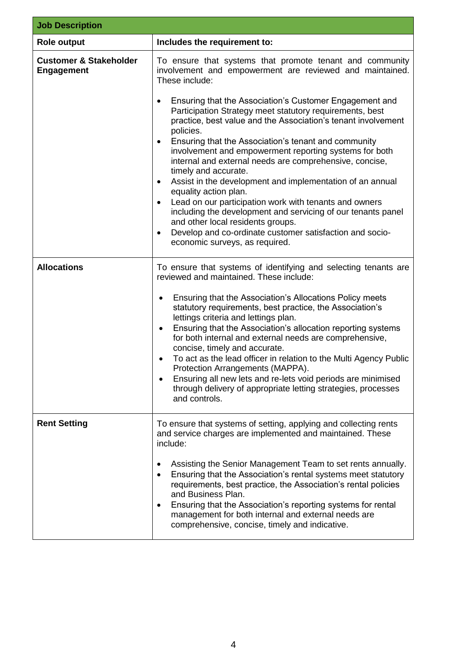| <b>Job Description</b>                                 |                                                                                                                                                                                                                                                                                                                                                                                                                                                                                                                                                                                                                                                                                                                                                                                                                                                                                                       |  |
|--------------------------------------------------------|-------------------------------------------------------------------------------------------------------------------------------------------------------------------------------------------------------------------------------------------------------------------------------------------------------------------------------------------------------------------------------------------------------------------------------------------------------------------------------------------------------------------------------------------------------------------------------------------------------------------------------------------------------------------------------------------------------------------------------------------------------------------------------------------------------------------------------------------------------------------------------------------------------|--|
| <b>Role output</b>                                     | Includes the requirement to:                                                                                                                                                                                                                                                                                                                                                                                                                                                                                                                                                                                                                                                                                                                                                                                                                                                                          |  |
| <b>Customer &amp; Stakeholder</b><br><b>Engagement</b> | To ensure that systems that promote tenant and community<br>involvement and empowerment are reviewed and maintained.<br>These include:<br>Ensuring that the Association's Customer Engagement and<br>Participation Strategy meet statutory requirements, best<br>practice, best value and the Association's tenant involvement<br>policies.<br>Ensuring that the Association's tenant and community<br>٠<br>involvement and empowerment reporting systems for both<br>internal and external needs are comprehensive, concise,<br>timely and accurate.<br>Assist in the development and implementation of an annual<br>$\bullet$<br>equality action plan.<br>Lead on our participation work with tenants and owners<br>$\bullet$<br>including the development and servicing of our tenants panel<br>and other local residents groups.<br>Develop and co-ordinate customer satisfaction and socio-<br>٠ |  |
|                                                        | economic surveys, as required.                                                                                                                                                                                                                                                                                                                                                                                                                                                                                                                                                                                                                                                                                                                                                                                                                                                                        |  |
| <b>Allocations</b>                                     | To ensure that systems of identifying and selecting tenants are<br>reviewed and maintained. These include:<br>Ensuring that the Association's Allocations Policy meets<br>٠<br>statutory requirements, best practice, the Association's<br>lettings criteria and lettings plan.<br>Ensuring that the Association's allocation reporting systems<br>$\bullet$<br>for both internal and external needs are comprehensive,<br>concise, timely and accurate.<br>To act as the lead officer in relation to the Multi Agency Public<br>Protection Arrangements (MAPPA).<br>Ensuring all new lets and re-lets void periods are minimised<br>through delivery of appropriate letting strategies, processes<br>and controls.                                                                                                                                                                                   |  |
| <b>Rent Setting</b>                                    | To ensure that systems of setting, applying and collecting rents<br>and service charges are implemented and maintained. These<br>include:<br>Assisting the Senior Management Team to set rents annually.<br>٠<br>Ensuring that the Association's rental systems meet statutory<br>$\bullet$<br>requirements, best practice, the Association's rental policies<br>and Business Plan.<br>Ensuring that the Association's reporting systems for rental<br>management for both internal and external needs are<br>comprehensive, concise, timely and indicative.                                                                                                                                                                                                                                                                                                                                          |  |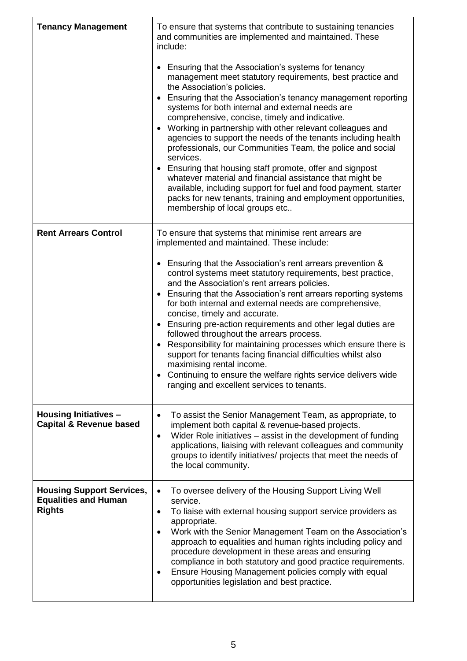| <b>Tenancy Management</b>                                                        | To ensure that systems that contribute to sustaining tenancies<br>and communities are implemented and maintained. These<br>include:<br>Ensuring that the Association's systems for tenancy<br>management meet statutory requirements, best practice and<br>the Association's policies.<br>Ensuring that the Association's tenancy management reporting<br>systems for both internal and external needs are<br>comprehensive, concise, timely and indicative.<br>Working in partnership with other relevant colleagues and<br>$\bullet$<br>agencies to support the needs of the tenants including health<br>professionals, our Communities Team, the police and social<br>services.<br>Ensuring that housing staff promote, offer and signpost<br>whatever material and financial assistance that might be<br>available, including support for fuel and food payment, starter<br>packs for new tenants, training and employment opportunities,<br>membership of local groups etc |
|----------------------------------------------------------------------------------|---------------------------------------------------------------------------------------------------------------------------------------------------------------------------------------------------------------------------------------------------------------------------------------------------------------------------------------------------------------------------------------------------------------------------------------------------------------------------------------------------------------------------------------------------------------------------------------------------------------------------------------------------------------------------------------------------------------------------------------------------------------------------------------------------------------------------------------------------------------------------------------------------------------------------------------------------------------------------------|
| <b>Rent Arrears Control</b>                                                      | To ensure that systems that minimise rent arrears are<br>implemented and maintained. These include:<br>• Ensuring that the Association's rent arrears prevention &<br>control systems meet statutory requirements, best practice,<br>and the Association's rent arrears policies.<br>Ensuring that the Association's rent arrears reporting systems<br>for both internal and external needs are comprehensive,<br>concise, timely and accurate.<br>Ensuring pre-action requirements and other legal duties are<br>followed throughout the arrears process.<br>• Responsibility for maintaining processes which ensure there is<br>support for tenants facing financial difficulties whilst also<br>maximising rental income.<br>Continuing to ensure the welfare rights service delivers wide<br>ranging and excellent services to tenants.                                                                                                                                     |
| <b>Housing Initiatives -</b><br><b>Capital &amp; Revenue based</b>               | To assist the Senior Management Team, as appropriate, to<br>implement both capital & revenue-based projects.<br>Wider Role initiatives – assist in the development of funding<br>$\bullet$<br>applications, liaising with relevant colleagues and community<br>groups to identify initiatives/ projects that meet the needs of<br>the local community.                                                                                                                                                                                                                                                                                                                                                                                                                                                                                                                                                                                                                          |
| <b>Housing Support Services,</b><br><b>Equalities and Human</b><br><b>Rights</b> | To oversee delivery of the Housing Support Living Well<br>$\bullet$<br>service.<br>To liaise with external housing support service providers as<br>$\bullet$<br>appropriate.<br>Work with the Senior Management Team on the Association's<br>$\bullet$<br>approach to equalities and human rights including policy and<br>procedure development in these areas and ensuring<br>compliance in both statutory and good practice requirements.<br>Ensure Housing Management policies comply with equal<br>opportunities legislation and best practice.                                                                                                                                                                                                                                                                                                                                                                                                                             |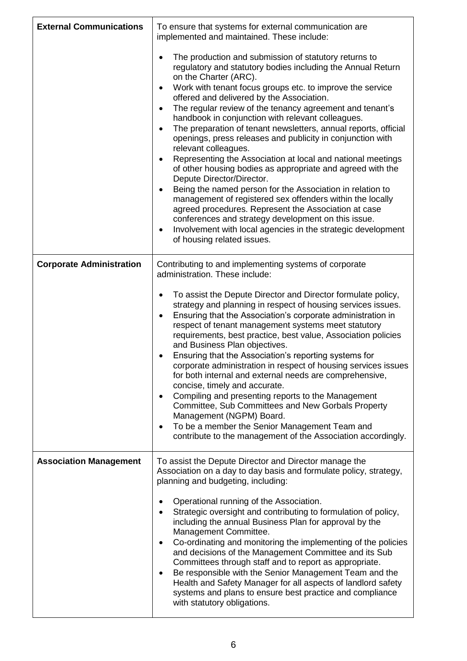| <b>External Communications</b>  | To ensure that systems for external communication are<br>implemented and maintained. These include:                                                                                                                                                                                                                                                                                                                                                                                                                                                                                                                                                                                                                                                                                                                                                                                                                                                                                                                                                          |  |
|---------------------------------|--------------------------------------------------------------------------------------------------------------------------------------------------------------------------------------------------------------------------------------------------------------------------------------------------------------------------------------------------------------------------------------------------------------------------------------------------------------------------------------------------------------------------------------------------------------------------------------------------------------------------------------------------------------------------------------------------------------------------------------------------------------------------------------------------------------------------------------------------------------------------------------------------------------------------------------------------------------------------------------------------------------------------------------------------------------|--|
|                                 | The production and submission of statutory returns to<br>regulatory and statutory bodies including the Annual Return<br>on the Charter (ARC).<br>Work with tenant focus groups etc. to improve the service<br>offered and delivered by the Association.<br>The regular review of the tenancy agreement and tenant's<br>$\bullet$<br>handbook in conjunction with relevant colleagues.<br>The preparation of tenant newsletters, annual reports, official<br>openings, press releases and publicity in conjunction with<br>relevant colleagues.<br>Representing the Association at local and national meetings<br>of other housing bodies as appropriate and agreed with the<br>Depute Director/Director.<br>Being the named person for the Association in relation to<br>$\bullet$<br>management of registered sex offenders within the locally<br>agreed procedures. Represent the Association at case<br>conferences and strategy development on this issue.<br>Involvement with local agencies in the strategic development<br>of housing related issues. |  |
| <b>Corporate Administration</b> | Contributing to and implementing systems of corporate<br>administration. These include:                                                                                                                                                                                                                                                                                                                                                                                                                                                                                                                                                                                                                                                                                                                                                                                                                                                                                                                                                                      |  |
|                                 | To assist the Depute Director and Director formulate policy,<br>strategy and planning in respect of housing services issues.<br>Ensuring that the Association's corporate administration in<br>٠<br>respect of tenant management systems meet statutory<br>requirements, best practice, best value, Association policies<br>and Business Plan objectives.<br>Ensuring that the Association's reporting systems for<br>corporate administration in respect of housing services issues<br>for both internal and external needs are comprehensive,<br>concise, timely and accurate.<br>Compiling and presenting reports to the Management<br>$\bullet$<br>Committee, Sub Committees and New Gorbals Property<br>Management (NGPM) Board.<br>To be a member the Senior Management Team and<br>contribute to the management of the Association accordingly.                                                                                                                                                                                                       |  |
| <b>Association Management</b>   | To assist the Depute Director and Director manage the<br>Association on a day to day basis and formulate policy, strategy,<br>planning and budgeting, including:                                                                                                                                                                                                                                                                                                                                                                                                                                                                                                                                                                                                                                                                                                                                                                                                                                                                                             |  |
|                                 | Operational running of the Association.<br>Strategic oversight and contributing to formulation of policy,<br>including the annual Business Plan for approval by the<br>Management Committee.<br>Co-ordinating and monitoring the implementing of the policies<br>٠<br>and decisions of the Management Committee and its Sub<br>Committees through staff and to report as appropriate.<br>Be responsible with the Senior Management Team and the<br>٠<br>Health and Safety Manager for all aspects of landlord safety<br>systems and plans to ensure best practice and compliance<br>with statutory obligations.                                                                                                                                                                                                                                                                                                                                                                                                                                              |  |